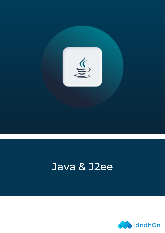

# Java & J2ee

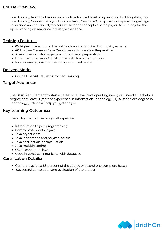## Course Overview:

Java Training from the basics concepts to advanced level programming building skills, this Java Training Course offers you the core Java, J2ee, Java8, Loops, Arrays, operators, garbage collections and advanced java course like oops concepts also helps you to be ready for the upon working on real-time industry experience.

# **Training Features:**

- 8X higher interaction in live online classes conducted by industry experts
- 48 Hrs. live Classes of Java Developer with Interview Preparation
- 3 real-time industry projects with hands-on preparation
- Unlimited Interview Opportunities with Placement Support
- Industry-recognized course completion certificate

## Delivery Mode:

Online Live Virtual Instructor Led Training

### Target Audiance:

The Basic Requirement to start a career as a Java Developer Engineer, you'll need a Bachelor's degree or at least 1+ years of experience in Information Technology (IT). A Bachelor's degree in Technology justice will help you get the job.

## Key Learning Outcomes:

The ability to do something well expertise.

- Introduction to java programming.
- Control statements in java
- Java object class
- Java inheritance and polymorphism
- Java abstraction, encapsulation
- Java multithreading
- OOPS concept in java
- Code in JDBC communicate with database

## Certification Details:

- Complete at least 85 percent of the course or attend one complete batch
- Successful completion and evaluation of the project

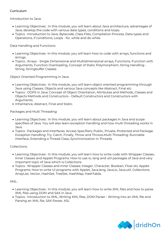#### **Curriculum**

Introduction to Java:

- Learning Objectives : In this module, you will learn about Java architecture, advantages of Java, develop the code with various data types, conditions and loops.
- Topics : Introduction to Java, Bytecode, Class Files, Compilation Process, Data types and Operations, if conditions, Loops - for, while and do while.

Data Handling and Functions:

- Learning Objectives -In this module, you will learn how to code with arrays, functions and strings.
- Topics : Arrays Single Dimensional and Multidimensional arrays, Functions, Function with Arguments, Function Overloading, Concept of Static Polymorphism, String Handling - String, Stringbuffer Classes

Object Oriented Programming in Java:

- Learning Objectives : In this module, you will learn object oriented programming through Java using Classes, Objects and various Java concepts like Abstract, Final etc
- Topics : OOPS in Java: Concept of Object Orientation, Attributes and Methods, Classes and Objects Methods and Constructors - Default Constructors and Constructors with Arguments.
- Inheritance, Abstract, Final and Static.

Packages and Multi Threading:

- Learning Objectives : In this module, you will learn about packages in Java and scope specifiers of Java. You will also learn exception handling and how multi threading works in Java
- Topics : Packages and Interfaces. Access Specifiers: Public, Private, Protected and Package. Exception Handling: Try, Catch, Finally, Throw and Throws.Multi Threading: Runnable Interface, Extending a Thread Class, Synchronization in Threads.

Collections:

- Learning Objectives : In this module, you will learn how to write code with Wrapper Classes, Inner Classes and Applet Programs. How to use io, lang and util packages of Java and very important topic of Java which is Collections
- Topics : Wrapper Classes and Inner Classes: Integer, Character, Boolean, Float etc Applet Programs: How to write UI programs with Applet, Java.lang, Java.io, Java.util. Collections: ArrayList, Vector, HashSet, TreeSet, HashMap, HashTable.

#### XML:

- Learning Objectives : In this module, you will learn how to write XML files and how to parse XML files using DOM and SAX in Java
- Topics : Introduction to XML, Writing XML files, DOM Parser Writing into an XML file and Parsing an XML file, SAX Parser, XSL

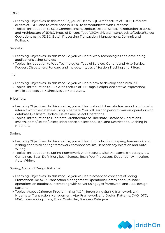#### JDBC:

- Learning Objectives: In this module, you will learn SQL, Architecture of JDBC, Different drivers of JDBC and to write code in JDBC to communicate with Database
- Topics : Introduction to SQL: Connect, Insert, Update, Delete, Select, Introduction to JDBC and Architecture of JDBC. Types of Drivers: Type 1/2/3/4 drivers, Insert/Update/Delete/Select Operations using JDBC, Batch Processing Transaction. Management: Commit and Rollback.

#### Servlets:

- Learning Objectives : In this module, you will learn Web Technologies and developing applications using Servlets
- Topics : Introduction to Web Technologies. Type of Servlets: Generic and Http Servlet. Request Dispatchers: Forward and Include, 4 types of Session Tracking and Filters.

#### JSP:

- Learning Objectives : In this module, you will learn how to develop code with JSP
- Topics : Introduction to JSP, Architecture of JSP, tags (Scripts, declarative, expression), Implicit objects, JSP Directives, JSP and JDBC.

#### Hibernate:

- Learning Objectives : In this module, you will learn about hibernate framework and how to interact with the database using hibernate. You will learn to perform various operations on database like Insert, Update, Delete and Select Operations
- Topics : Introduction to Hibernate, Architecture of Hibernate, Database Operations : Insert/Update/Delete/Select, Inheritance, Collections, HQL and Restrictions, Caching in Hibernate.

#### Spring:

- Learning Objectives : In this module, you will learn Introduction to spring framework and writing code with spring framework components like Dependency Injection and Auto Wiring
- Topics : Introduction to Spring Framework, Architecture, Display a Sample Message, IoC Containers, Bean Definition, Bean Scopes, Bean Post Processors, Dependency Injection, Auto-Wiring.

Spring, Ajax and Design Patterns:

- Learning Objectives : In this module, you will learn advanced concepts of Spring Framework like AOP, Transaction Management Operations Commit and Rollback operations on database. Interacting with server using Ajax framework and J2EE design patterns
- Topics : Aspect Oriented Programming (AOP), Integrating Spring framework with Hibernate, Transaction Management, Ajax Framework and Design Patterns: DAO, DTO, MVC, Intercepting filters, Front Controller, Business Delegate.